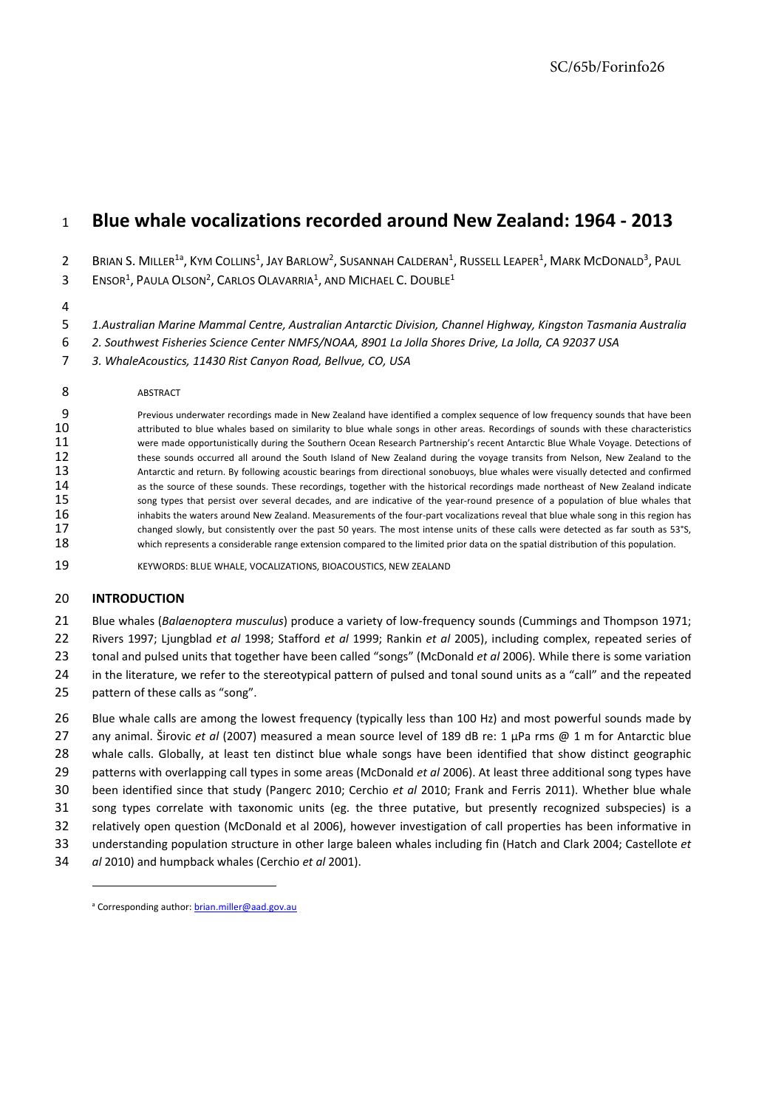# **Blue whale vocalizations recorded around New Zealand: 1964 ‐ 2013**

 $2-$  Brian S. Miller<sup>1a</sup>, Kym Collins<sup>1</sup>, Jay Barlow<sup>2</sup>, Susannah Calderan<sup>1</sup>, Russell Leaper<sup>1</sup>, Mark McDonald<sup>3</sup>, Paul Ensor<sup>1</sup>, Paula Olson<sup>2</sup>, Carlos Olavarria<sup>1</sup>, and Michael C. Double<sup>1</sup>

*1.Australian Marine Mammal Centre, Australian Antarctic Division, Channel Highway, Kingston Tasmania Australia*

*2. Southwest Fisheries Science Center NMFS/NOAA, 8901 La Jolla Shores Drive, La Jolla, CA 92037 USA*

*3. WhaleAcoustics, 11430 Rist Canyon Road, Bellvue, CO, USA*

**ABSTRACT** 

9 Previous underwater recordings made in New Zealand have identified a complex sequence of low frequency sounds that have been<br>attributed to blue whales based on similarity to blue whale songs in other areas. Recordings of attributed to blue whales based on similarity to blue whale songs in other areas. Recordings of sounds with these characteristics were made opportunistically during the Southern Ocean Research Partnership's recent Antarctic Blue Whale Voyage. Detections of 12 these sounds occurred all around the South Island of New Zealand during the voyage transits from Nelson, New Zealand to the 13 Antarctic and return. By following acoustic bearings from directional sonobuoys, blue whales were visually detected and confirmed 14 as the source of these sounds. These recordings, together with the historical recordings made northeast of New Zealand indicate<br>15 song types that persist over several decades, and are indicative of the year-round prese song types that persist over several decades, and are indicative of the year-round presence of a population of blue whales that 16 inhabits the waters around New Zealand. Measurements of the four-part vocalizations reveal that blue whale song in this region has<br>17 changed slowly, but consistently over the past 50 years. The most intense units of th changed slowly, but consistently over the past 50 years. The most intense units of these calls were detected as far south as 53°S, 18 which represents a considerable range extension compared to the limited prior data on the spatial distribution of this population.

KEYWORDS: BLUE WHALE, VOCALIZATIONS, BIOACOUSTICS, NEW ZEALAND

# **INTRODUCTION**

Blue whales (*Balaenoptera musculus*) produce a variety of low‐frequency sounds (Cummings and Thompson 1971;

Rivers 1997; Ljungblad *et al* 1998; Stafford *et al* 1999; Rankin *et al* 2005), including complex, repeated series of

tonal and pulsed units that together have been called "songs" (McDonald *et al* 2006). While there is some variation

in the literature, we refer to the stereotypical pattern of pulsed and tonal sound units as a "call" and the repeated

pattern of these calls as "song".

26 Blue whale calls are among the lowest frequency (typically less than 100 Hz) and most powerful sounds made by any animal. Širovic *et al* (2007) measured a mean source level of 189 dB re: 1 μPa rms @ 1 m for Antarctic blue whale calls. Globally, at least ten distinct blue whale songs have been identified that show distinct geographic patterns with overlapping call types in some areas (McDonald *et al* 2006). At least three additional song types have been identified since that study (Pangerc 2010; Cerchio *et al* 2010; Frank and Ferris 2011). Whether blue whale song types correlate with taxonomic units (eg. the three putative, but presently recognized subspecies) is a relatively open question (McDonald et al 2006), however investigation of call properties has been informative in understanding population structure in other large baleen whales including fin (Hatch and Clark 2004; Castellote *et al* 2010) and humpback whales (Cerchio *et al* 2001).

<sup>&</sup>lt;sup>a</sup> Corresponding author: brian.miller@aad.gov.au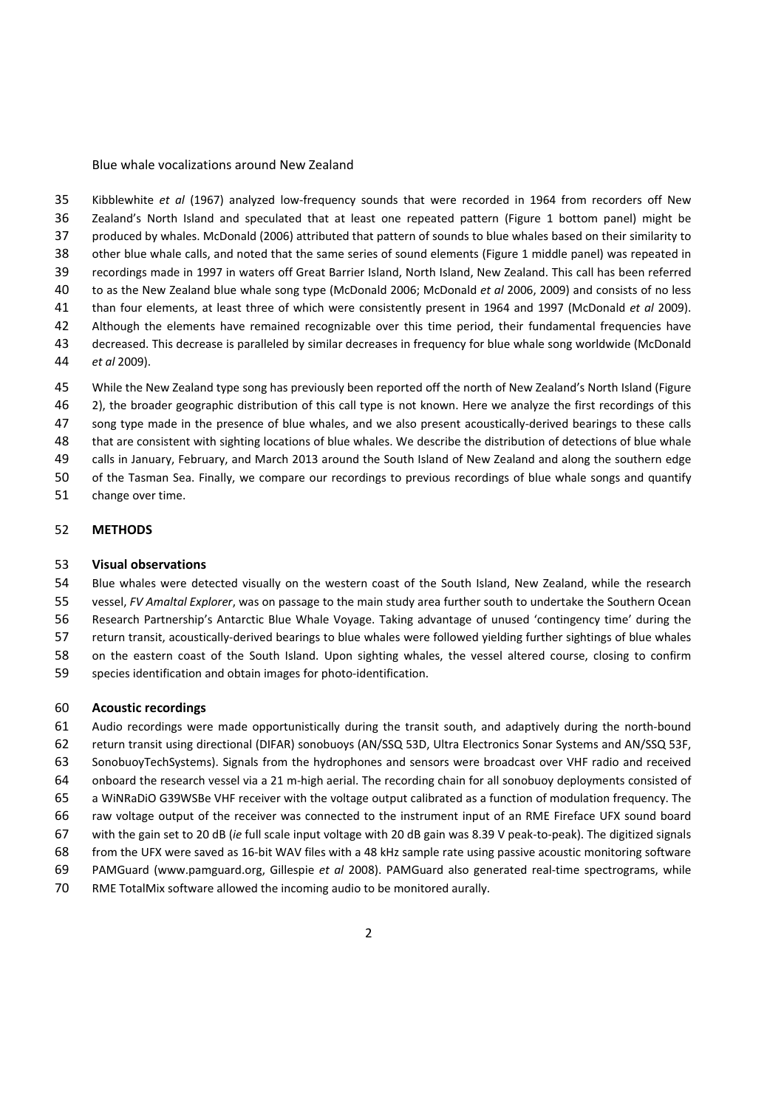Kibblewhite *et al* (1967) analyzed low‐frequency sounds that were recorded in 1964 from recorders off New Zealand's North Island and speculated that at least one repeated pattern (Figure 1 bottom panel) might be produced by whales. McDonald (2006) attributed that pattern of sounds to blue whales based on their similarity to other blue whale calls, and noted that the same series of sound elements (Figure 1 middle panel) was repeated in recordings made in 1997 in waters off Great Barrier Island, North Island, New Zealand. This call has been referred to as the New Zealand blue whale song type (McDonald 2006; McDonald *et al* 2006, 2009) and consists of no less than four elements, at least three of which were consistently present in 1964 and 1997 (McDonald *et al* 2009). Although the elements have remained recognizable over this time period, their fundamental frequencies have decreased. This decrease is paralleled by similar decreases in frequency for blue whale song worldwide (McDonald *et al* 2009).

- While the New Zealand type song has previously been reported off the north of New Zealand's North Island (Figure
- 2), the broader geographic distribution of this call type is not known. Here we analyze the first recordings of this
- 47 song type made in the presence of blue whales, and we also present acoustically-derived bearings to these calls
- that are consistent with sighting locations of blue whales. We describe the distribution of detections of blue whale
- calls in January, February, and March 2013 around the South Island of New Zealand and along the southern edge of the Tasman Sea. Finally, we compare our recordings to previous recordings of blue whale songs and quantify
- change over time.

## **METHODS**

## **Visual observations**

 Blue whales were detected visually on the western coast of the South Island, New Zealand, while the research vessel, *FV Amaltal Explorer*, was on passage to the main study area further south to undertake the Southern Ocean Research Partnership's Antarctic Blue Whale Voyage. Taking advantage of unused 'contingency time' during the 57 return transit, acoustically-derived bearings to blue whales were followed yielding further sightings of blue whales on the eastern coast of the South Island. Upon sighting whales, the vessel altered course, closing to confirm

59 species identification and obtain images for photo-identification.

## **Acoustic recordings**

 Audio recordings were made opportunistically during the transit south, and adaptively during the north‐bound return transit using directional (DIFAR) sonobuoys (AN/SSQ 53D, Ultra Electronics Sonar Systems and AN/SSQ 53F, SonobuoyTechSystems). Signals from the hydrophones and sensors were broadcast over VHF radio and received onboard the research vessel via a 21 m‐high aerial. The recording chain for all sonobuoy deployments consisted of a WiNRaDiO G39WSBe VHF receiver with the voltage output calibrated as a function of modulation frequency. The raw voltage output of the receiver was connected to the instrument input of an RME Fireface UFX sound board with the gain set to 20 dB (*ie* full scale input voltage with 20 dB gain was 8.39 V peak‐to‐peak). The digitized signals from the UFX were saved as 16‐bit WAV files with a 48 kHz sample rate using passive acoustic monitoring software PAMGuard (www.pamguard.org, Gillespie *et al* 2008). PAMGuard also generated real‐time spectrograms, while

RME TotalMix software allowed the incoming audio to be monitored aurally.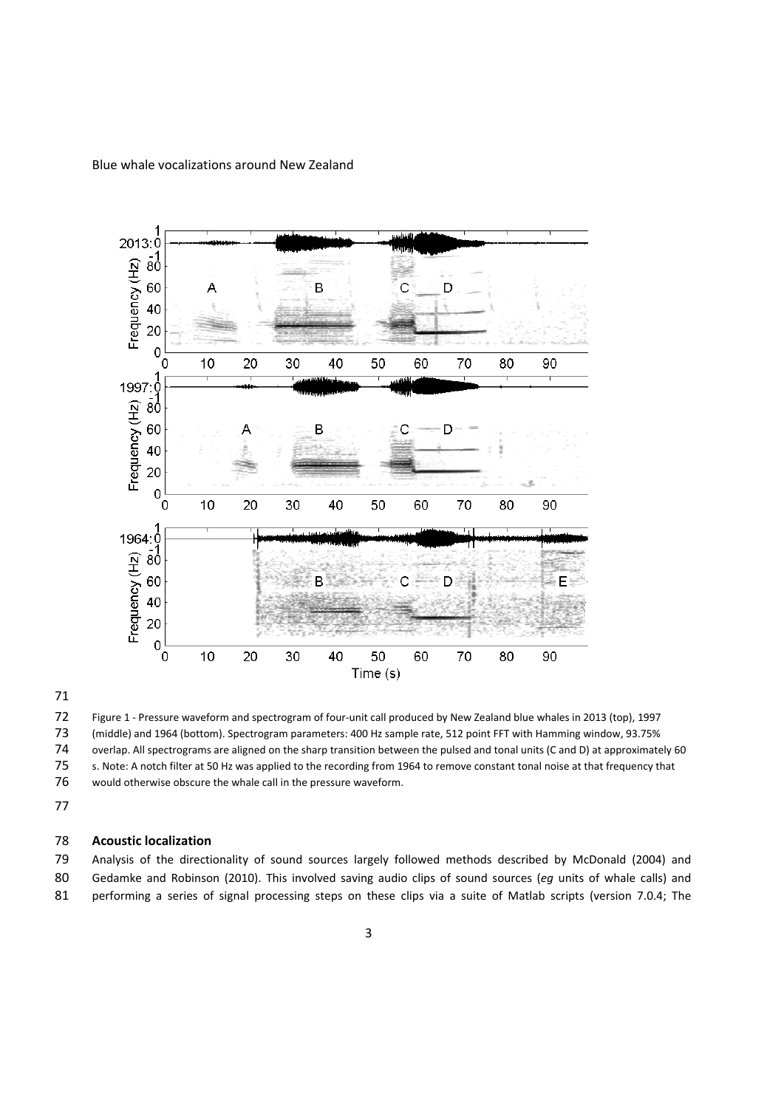

 Figure 1 ‐ Pressure waveform and spectrogram of four‐unit call produced by New Zealand blue whales in 2013 (top), 1997 (middle) and 1964 (bottom). Spectrogram parameters: 400 Hz sample rate, 512 point FFT with Hamming window, 93.75% overlap. All spectrograms are aligned on the sharp transition between the pulsed and tonal units (C and D) at approximately 60 s. Note: A notch filter at 50 Hz was applied to the recording from 1964 to remove constant tonal noise at that frequency that

would otherwise obscure the whale call in the pressure waveform.

# **Acoustic localization**

 Analysis of the directionality of sound sources largely followed methods described by McDonald (2004) and Gedamke and Robinson (2010). This involved saving audio clips of sound sources (*eg* units of whale calls) and 81 performing a series of signal processing steps on these clips via a suite of Matlab scripts (version 7.0.4; The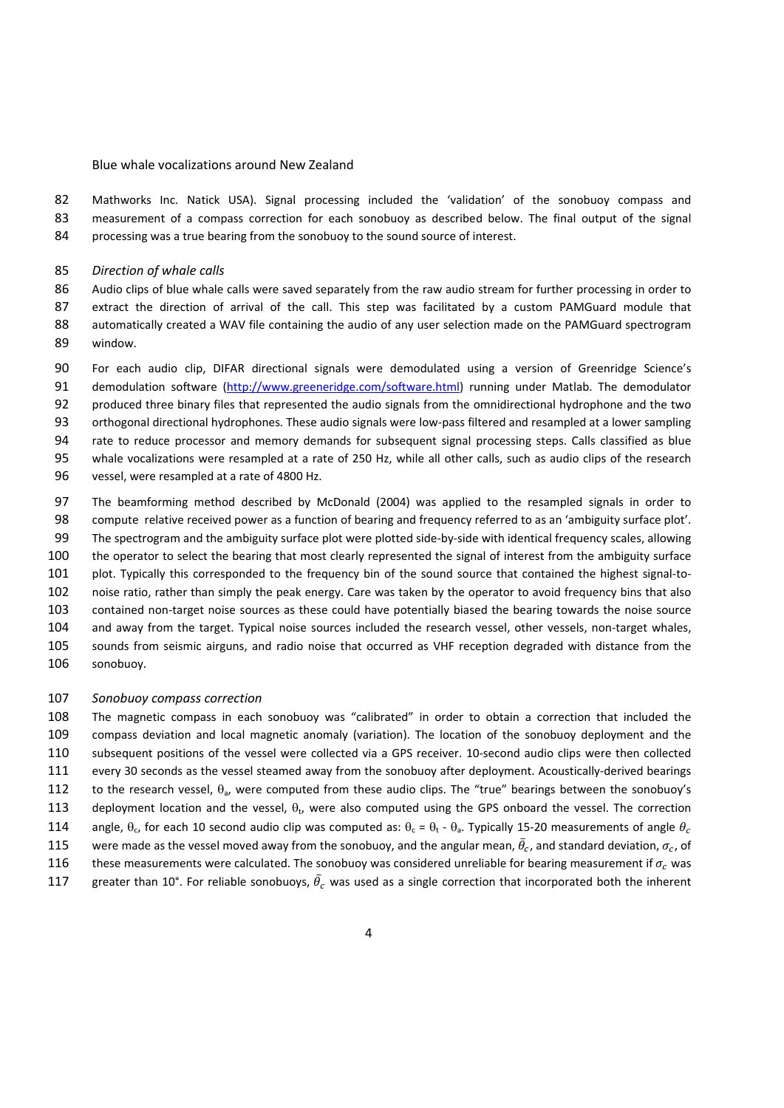Mathworks Inc. Natick USA). Signal processing included the 'validation' of the sonobuoy compass and measurement of a compass correction for each sonobuoy as described below. The final output of the signal 84 processing was a true bearing from the sonobuoy to the sound source of interest.

*Direction of whale calls*

 Audio clips of blue whale calls were saved separately from the raw audio stream for further processing in order to extract the direction of arrival of the call. This step was facilitated by a custom PAMGuard module that 88 automatically created a WAV file containing the audio of any user selection made on the PAMGuard spectrogram window.

- For each audio clip, DIFAR directional signals were demodulated using a version of Greenridge Science's demodulation software (http://www.greeneridge.com/software.html) running under Matlab. The demodulator produced three binary files that represented the audio signals from the omnidirectional hydrophone and the two 93 orthogonal directional hydrophones. These audio signals were low-pass filtered and resampled at a lower sampling rate to reduce processor and memory demands for subsequent signal processing steps. Calls classified as blue whale vocalizations were resampled at a rate of 250 Hz, while all other calls, such as audio clips of the research vessel, were resampled at a rate of 4800 Hz.
- The beamforming method described by McDonald (2004) was applied to the resampled signals in order to compute relative received power as a function of bearing and frequency referred to as an 'ambiguity surface plot'. 99 The spectrogram and the ambiguity surface plot were plotted side-by-side with identical frequency scales, allowing the operator to select the bearing that most clearly represented the signal of interest from the ambiguity surface 101 plot. Typically this corresponded to the frequency bin of the sound source that contained the highest signal-to- noise ratio, rather than simply the peak energy. Care was taken by the operator to avoid frequency bins that also 103 contained non-target noise sources as these could have potentially biased the bearing towards the noise source 104 and away from the target. Typical noise sources included the research vessel, other vessels, non-target whales, sounds from seismic airguns, and radio noise that occurred as VHF reception degraded with distance from the sonobuoy.

### *Sonobuoy compass correction*

 The magnetic compass in each sonobuoy was "calibrated" in order to obtain a correction that included the compass deviation and local magnetic anomaly (variation). The location of the sonobuoy deployment and the subsequent positions of the vessel were collected via a GPS receiver. 10‐second audio clips were then collected every 30 seconds as the vessel steamed away from the sonobuoy after deployment. Acoustically‐derived bearings 112 to the research vessel,  $\theta_a$ , were computed from these audio clips. The "true" bearings between the sonobuoy's 113 deployment location and the vessel,  $\theta_t$ , were also computed using the GPS onboard the vessel. The correction 114 angle,  $\theta_c$ , for each 10 second audio clip was computed as:  $\theta_c = \theta_t - \theta_a$ . Typically 15-20 measurements of angle  $\theta_c$ 115 were made as the vessel moved away from the sonobuoy, and the angular mean,  $\bar{\theta}_c$ , and standard deviation,  $\sigma_c$ , of

- 116 these measurements were calculated. The sonobuoy was considered unreliable for bearing measurement if  $\sigma_r$  was
- 117 greater than 10°. For reliable sonobuoys,  $\bar{\theta}_c$  was used as a single correction that incorporated both the inherent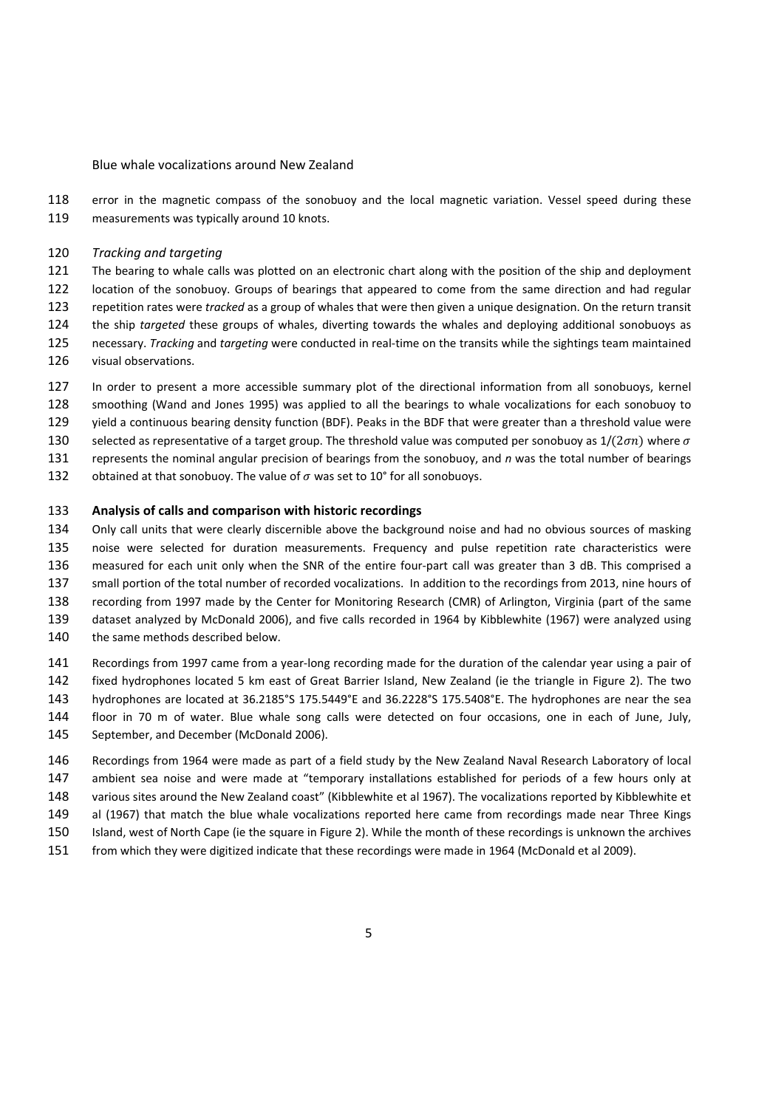error in the magnetic compass of the sonobuoy and the local magnetic variation. Vessel speed during these measurements was typically around 10 knots.

*Tracking and targeting* 

 The bearing to whale calls was plotted on an electronic chart along with the position of the ship and deployment location of the sonobuoy. Groups of bearings that appeared to come from the same direction and had regular repetition rates were *tracked* as a group of whales that were then given a unique designation. On the return transit the ship *targeted* these groups of whales, diverting towards the whales and deploying additional sonobuoys as necessary. *Tracking* and *targeting* were conducted in real‐time on the transits while the sightings team maintained visual observations.

- In order to present a more accessible summary plot of the directional information from all sonobuoys, kernel
- smoothing (Wand and Jones 1995) was applied to all the bearings to whale vocalizations for each sonobuoy to
- yield a continuous bearing density function (BDF). Peaks in the BDF that were greater than a threshold value were
- 130 selected as representative of a target group. The threshold value was computed per sonobuoy as  $1/(2\sigma n)$  where  $\sigma$ represents the nominal angular precision of bearings from the sonobuoy, and *n* was the total number of bearings
- 
- 132 obtained at that sonobuoy. The value of  $\sigma$  was set to 10° for all sonobuoys.

### **Analysis of calls and comparison with historic recordings**

 Only call units that were clearly discernible above the background noise and had no obvious sources of masking noise were selected for duration measurements. Frequency and pulse repetition rate characteristics were 136 measured for each unit only when the SNR of the entire four-part call was greater than 3 dB. This comprised a small portion of the total number of recorded vocalizations. In addition to the recordings from 2013, nine hours of recording from 1997 made by the Center for Monitoring Research (CMR) of Arlington, Virginia (part of the same dataset analyzed by McDonald 2006), and five calls recorded in 1964 by Kibblewhite (1967) were analyzed using

- 140 the same methods described below.
- 141 Recordings from 1997 came from a year-long recording made for the duration of the calendar year using a pair of fixed hydrophones located 5 km east of Great Barrier Island, New Zealand (ie the triangle in Figure 2). The two hydrophones are located at 36.2185°S 175.5449°E and 36.2228°S 175.5408°E. The hydrophones are near the sea floor in 70 m of water. Blue whale song calls were detected on four occasions, one in each of June, July, September, and December (McDonald 2006).
- Recordings from 1964 were made as part of a field study by the New Zealand Naval Research Laboratory of local ambient sea noise and were made at "temporary installations established for periods of a few hours only at various sites around the New Zealand coast" (Kibblewhite et al 1967). The vocalizations reported by Kibblewhite et al (1967) that match the blue whale vocalizations reported here came from recordings made near Three Kings Island, west of North Cape (ie the square in Figure 2). While the month of these recordings is unknown the archives
- from which they were digitized indicate that these recordings were made in 1964 (McDonald et al 2009).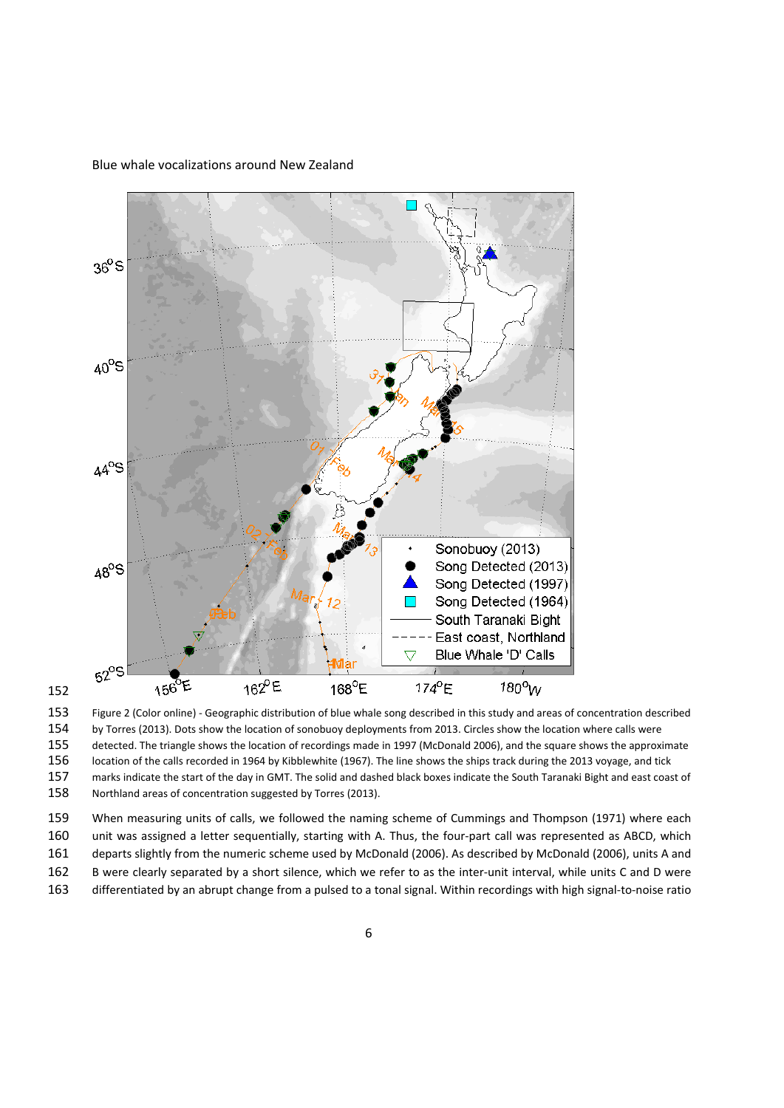



 Figure 2 (Color online) ‐ Geographic distribution of blue whale song described in this study and areas of concentration described by Torres (2013). Dots show the location of sonobuoy deployments from 2013. Circles show the location where calls were detected. The triangle shows the location of recordings made in 1997 (McDonald 2006), and the square shows the approximate

location of the calls recorded in 1964 by Kibblewhite (1967). The line shows the ships track during the 2013 voyage, and tick

marks indicate the start of the day in GMT. The solid and dashed black boxes indicate the South Taranaki Bight and east coast of

Northland areas of concentration suggested by Torres (2013).

 When measuring units of calls, we followed the naming scheme of Cummings and Thompson (1971) where each unit was assigned a letter sequentially, starting with A. Thus, the four‐part call was represented as ABCD, which departs slightly from the numeric scheme used by McDonald (2006). As described by McDonald (2006), units A and

162 B were clearly separated by a short silence, which we refer to as the inter-unit interval, while units C and D were

differentiated by an abrupt change from a pulsed to a tonal signal. Within recordings with high signal‐to‐noise ratio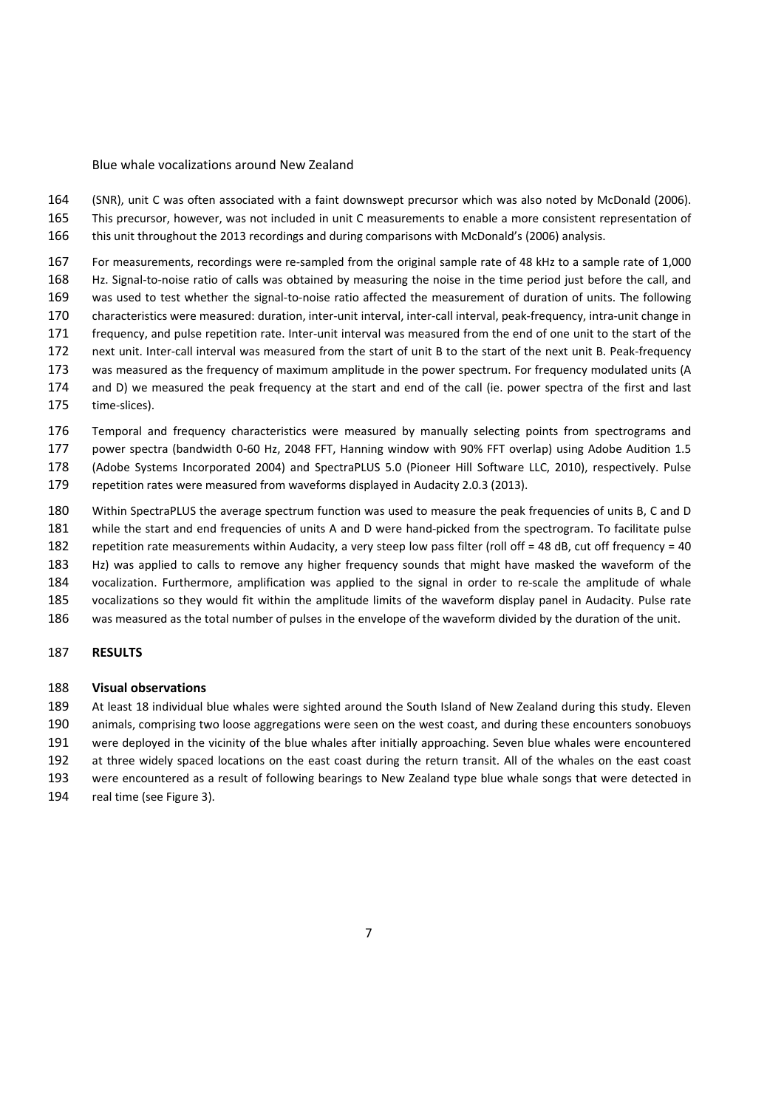(SNR), unit C was often associated with a faint downswept precursor which was also noted by McDonald (2006). This precursor, however, was not included in unit C measurements to enable a more consistent representation of this unit throughout the 2013 recordings and during comparisons with McDonald's (2006) analysis.

 For measurements, recordings were re‐sampled from the original sample rate of 48 kHz to a sample rate of 1,000 Hz. Signal‐to‐noise ratio of calls was obtained by measuring the noise in the time period just before the call, and 169 was used to test whether the signal-to-noise ratio affected the measurement of duration of units. The following 170 characteristics were measured: duration, inter-unit interval, inter-call interval, peak-frequency, intra-unit change in 171 frequency, and pulse repetition rate. Inter-unit interval was measured from the end of one unit to the start of the 172 next unit. Inter-call interval was measured from the start of unit B to the start of the next unit B. Peak-frequency was measured as the frequency of maximum amplitude in the power spectrum. For frequency modulated units (A and D) we measured the peak frequency at the start and end of the call (ie. power spectra of the first and last

175 time-slices).

176 Temporal and frequency characteristics were measured by manually selecting points from spectrograms and power spectra (bandwidth 0‐60 Hz, 2048 FFT, Hanning window with 90% FFT overlap) using Adobe Audition 1.5 (Adobe Systems Incorporated 2004) and SpectraPLUS 5.0 (Pioneer Hill Software LLC, 2010), respectively. Pulse

repetition rates were measured from waveforms displayed in Audacity 2.0.3 (2013).

 Within SpectraPLUS the average spectrum function was used to measure the peak frequencies of units B, C and D 181 while the start and end frequencies of units A and D were hand-picked from the spectrogram. To facilitate pulse

repetition rate measurements within Audacity, a very steep low pass filter (roll off = 48 dB, cut off frequency = 40

Hz) was applied to calls to remove any higher frequency sounds that might have masked the waveform of the

184 vocalization. Furthermore, amplification was applied to the signal in order to re-scale the amplitude of whale

- vocalizations so they would fit within the amplitude limits of the waveform display panel in Audacity. Pulse rate
- was measured as the total number of pulses in the envelope of the waveform divided by the duration of the unit.

### **RESULTS**

### **Visual observations**

 At least 18 individual blue whales were sighted around the South Island of New Zealand during this study. Eleven animals, comprising two loose aggregations were seen on the west coast, and during these encounters sonobuoys

were deployed in the vicinity of the blue whales after initially approaching. Seven blue whales were encountered

at three widely spaced locations on the east coast during the return transit. All of the whales on the east coast

were encountered as a result of following bearings to New Zealand type blue whale songs that were detected in

real time (see Figure 3).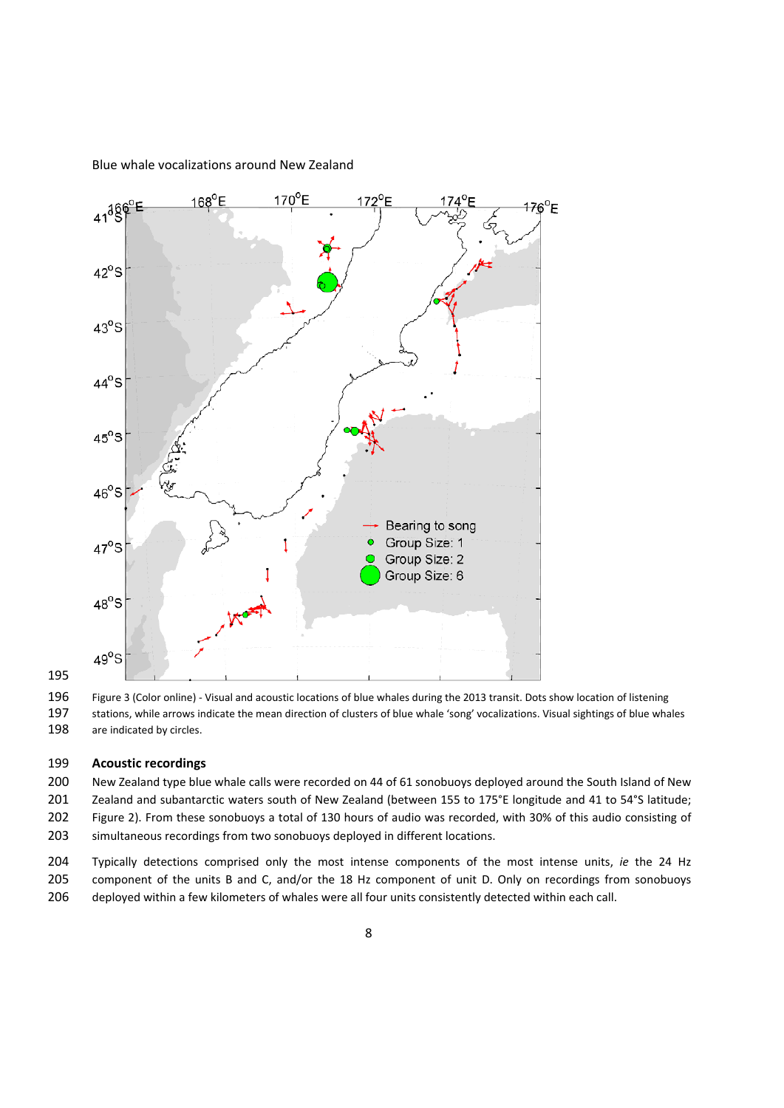

Figure 3 (Color online) ‐ Visual and acoustic locations of blue whales during the 2013 transit. Dots show location of listening

 stations, while arrows indicate the mean direction of clusters of blue whale 'song' vocalizations. Visual sightings of blue whales 198 are indicated by circles.

### **Acoustic recordings**

 New Zealand type blue whale calls were recorded on 44 of 61 sonobuoys deployed around the South Island of New Zealand and subantarctic waters south of New Zealand (between 155 to 175°E longitude and 41 to 54°S latitude; Figure 2). From these sonobuoys a total of 130 hours of audio was recorded, with 30% of this audio consisting of simultaneous recordings from two sonobuoys deployed in different locations.

 Typically detections comprised only the most intense components of the most intense units, *ie* the 24 Hz component of the units B and C, and/or the 18 Hz component of unit D. Only on recordings from sonobuoys deployed within a few kilometers of whales were all four units consistently detected within each call.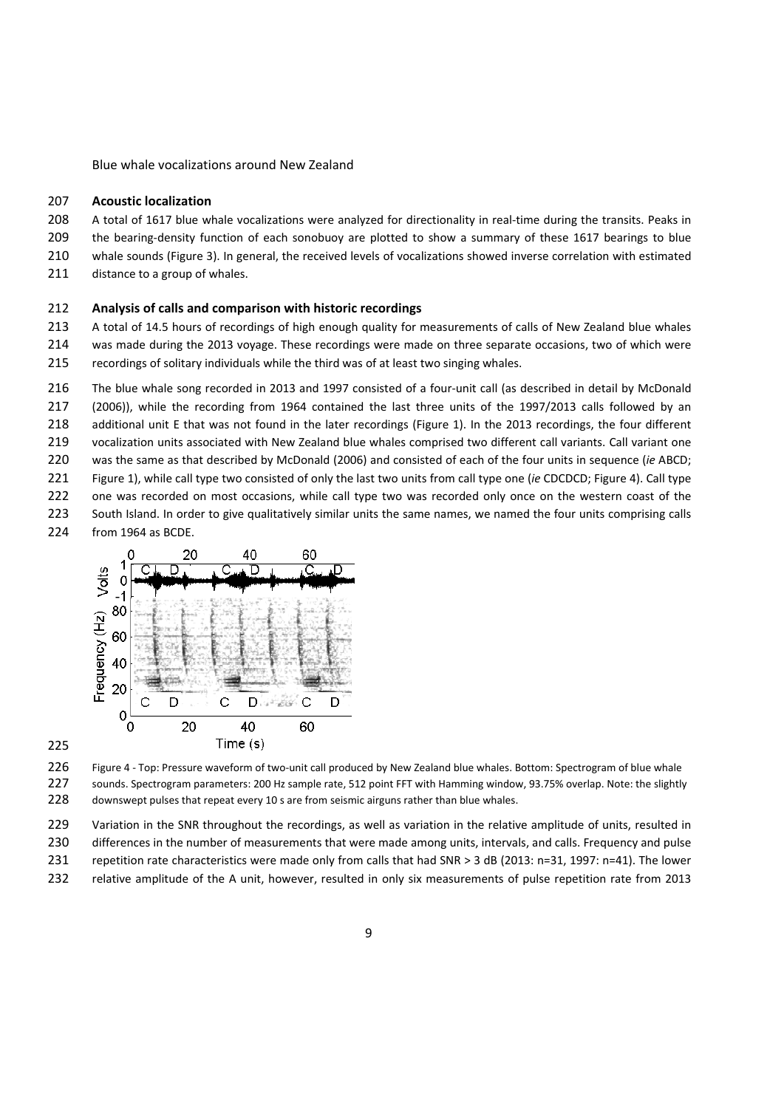### **Acoustic localization**

- 208 A total of 1617 blue whale vocalizations were analyzed for directionality in real-time during the transits. Peaks in
- 209 the bearing-density function of each sonobuoy are plotted to show a summary of these 1617 bearings to blue
- whale sounds (Figure 3). In general, the received levels of vocalizations showed inverse correlation with estimated
- 211 distance to a group of whales.

# **Analysis of calls and comparison with historic recordings**

 A total of 14.5 hours of recordings of high enough quality for measurements of calls of New Zealand blue whales was made during the 2013 voyage. These recordings were made on three separate occasions, two of which were recordings of solitary individuals while the third was of at least two singing whales.

- 216 The blue whale song recorded in 2013 and 1997 consisted of a four-unit call (as described in detail by McDonald
- (2006)), while the recording from 1964 contained the last three units of the 1997/2013 calls followed by an
- additional unit E that was not found in the later recordings (Figure 1). In the 2013 recordings, the four different
- 219 vocalization units associated with New Zealand blue whales comprised two different call variants. Call variant one
- was the same as that described by McDonald (2006) and consisted of each of the four units in sequence (*ie* ABCD;
- Figure 1), while call type two consisted of only the last two units from call type one (*ie* CDCDCD; Figure 4). Call type
- 222 one was recorded on most occasions, while call type two was recorded only once on the western coast of the
- 223 South Island. In order to give qualitatively similar units the same names, we named the four units comprising calls
- from 1964 as BCDE.



226 Figure 4 - Top: Pressure waveform of two-unit call produced by New Zealand blue whales. Bottom: Spectrogram of blue whale sounds. Spectrogram parameters: 200 Hz sample rate, 512 point FFT with Hamming window, 93.75% overlap. Note: the slightly 228 downswept pulses that repeat every 10 s are from seismic airguns rather than blue whales.

Variation in the SNR throughout the recordings, as well as variation in the relative amplitude of units, resulted in

- 230 differences in the number of measurements that were made among units, intervals, and calls. Frequency and pulse
- repetition rate characteristics were made only from calls that had SNR > 3 dB (2013: n=31, 1997: n=41). The lower
- relative amplitude of the A unit, however, resulted in only six measurements of pulse repetition rate from 2013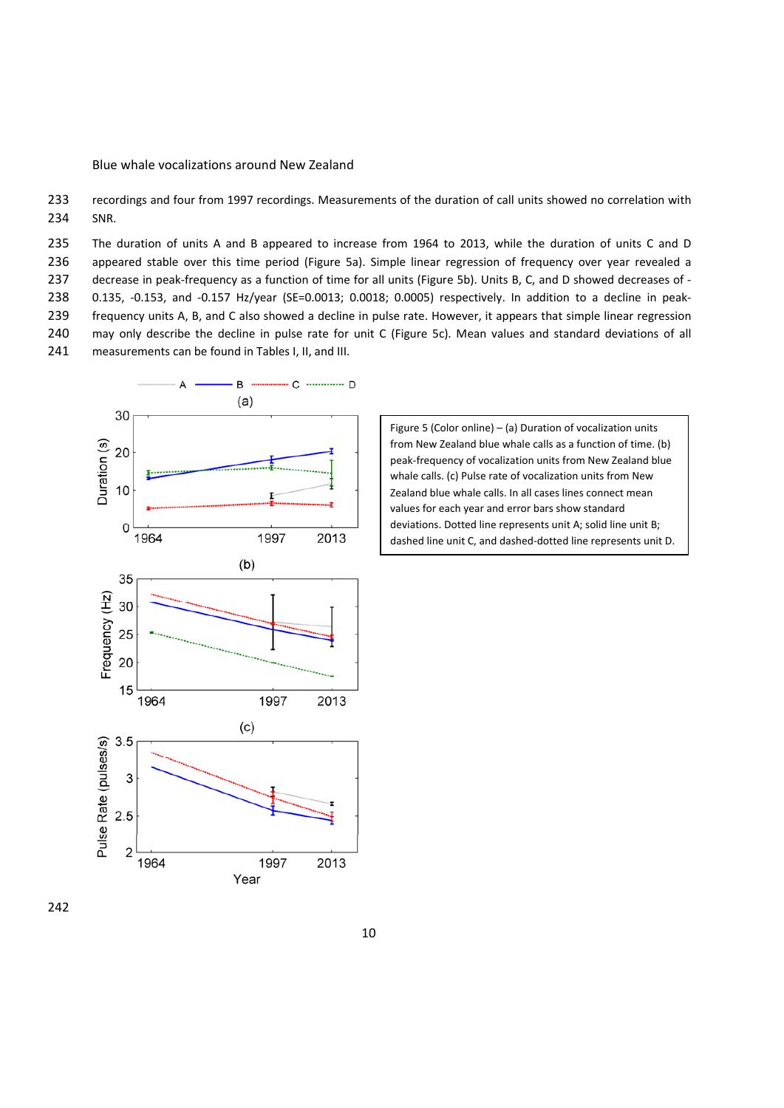233 recordings and four from 1997 recordings. Measurements of the duration of call units showed no correlation with 234 SNR.

 The duration of units A and B appeared to increase from 1964 to 2013, while the duration of units C and D appeared stable over this time period (Figure 5a). Simple linear regression of frequency over year revealed a 237 decrease in peak-frequency as a function of time for all units (Figure 5b). Units B, C, and D showed decreases of -238 0.135, -0.153, and -0.157 Hz/year (SE=0.0013; 0.0018; 0.0005) respectively. In addition to a decline in peak- frequency units A, B, and C also showed a decline in pulse rate. However, it appears that simple linear regression may only describe the decline in pulse rate for unit C (Figure 5c). Mean values and standard deviations of all measurements can be found in Tables I, II, and III.



Figure 5 (Color online) – (a) Duration of vocalization units from New Zealand blue whale calls as a function of time. (b) peak‐frequency of vocalization units from New Zealand blue whale calls. (c) Pulse rate of vocalization units from New Zealand blue whale calls. In all cases lines connect mean values for each year and error bars show standard deviations. Dotted line represents unit A; solid line unit B; dashed line unit C, and dashed‐dotted line represents unit D.

# 242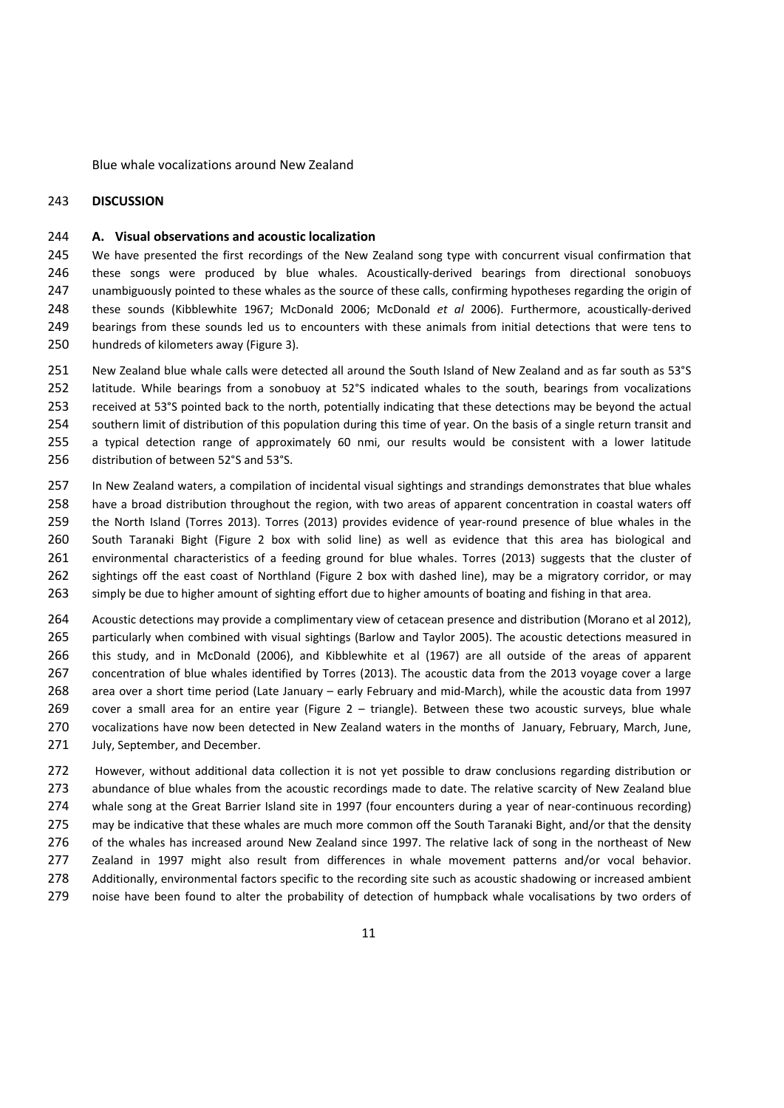### **DISCUSSION**

### **A. Visual observations and acoustic localization**

245 We have presented the first recordings of the New Zealand song type with concurrent visual confirmation that 246 these songs were produced by blue whales. Acoustically-derived bearings from directional sonobuoys unambiguously pointed to these whales as the source of these calls, confirming hypotheses regarding the origin of these sounds (Kibblewhite 1967; McDonald 2006; McDonald *et al* 2006). Furthermore, acoustically‐derived bearings from these sounds led us to encounters with these animals from initial detections that were tens to hundreds of kilometers away (Figure 3).

 New Zealand blue whale calls were detected all around the South Island of New Zealand and as far south as 53°S latitude. While bearings from a sonobuoy at 52°S indicated whales to the south, bearings from vocalizations received at 53°S pointed back to the north, potentially indicating that these detections may be beyond the actual southern limit of distribution of this population during this time of year. On the basis of a single return transit and a typical detection range of approximately 60 nmi, our results would be consistent with a lower latitude distribution of between 52°S and 53°S.

 In New Zealand waters, a compilation of incidental visual sightings and strandings demonstrates that blue whales have a broad distribution throughout the region, with two areas of apparent concentration in coastal waters off 259 the North Island (Torres 2013). Torres (2013) provides evidence of year-round presence of blue whales in the South Taranaki Bight (Figure 2 box with solid line) as well as evidence that this area has biological and environmental characteristics of a feeding ground for blue whales. Torres (2013) suggests that the cluster of sightings off the east coast of Northland (Figure 2 box with dashed line), may be a migratory corridor, or may simply be due to higher amount of sighting effort due to higher amounts of boating and fishing in that area.

 Acoustic detections may provide a complimentary view of cetacean presence and distribution (Morano et al 2012), particularly when combined with visual sightings (Barlow and Taylor 2005). The acoustic detections measured in this study, and in McDonald (2006), and Kibblewhite et al (1967) are all outside of the areas of apparent concentration of blue whales identified by Torres (2013). The acoustic data from the 2013 voyage cover a large area over a short time period (Late January – early February and mid‐March), while the acoustic data from 1997 cover a small area for an entire year (Figure 2 – triangle). Between these two acoustic surveys, blue whale vocalizations have now been detected in New Zealand waters in the months of January, February, March, June, 271 July, September, and December.

 However, without additional data collection it is not yet possible to draw conclusions regarding distribution or 273 abundance of blue whales from the acoustic recordings made to date. The relative scarcity of New Zealand blue 274 whale song at the Great Barrier Island site in 1997 (four encounters during a year of near-continuous recording) 275 may be indicative that these whales are much more common off the South Taranaki Bight, and/or that the density of the whales has increased around New Zealand since 1997. The relative lack of song in the northeast of New Zealand in 1997 might also result from differences in whale movement patterns and/or vocal behavior. 278 Additionally, environmental factors specific to the recording site such as acoustic shadowing or increased ambient noise have been found to alter the probability of detection of humpback whale vocalisations by two orders of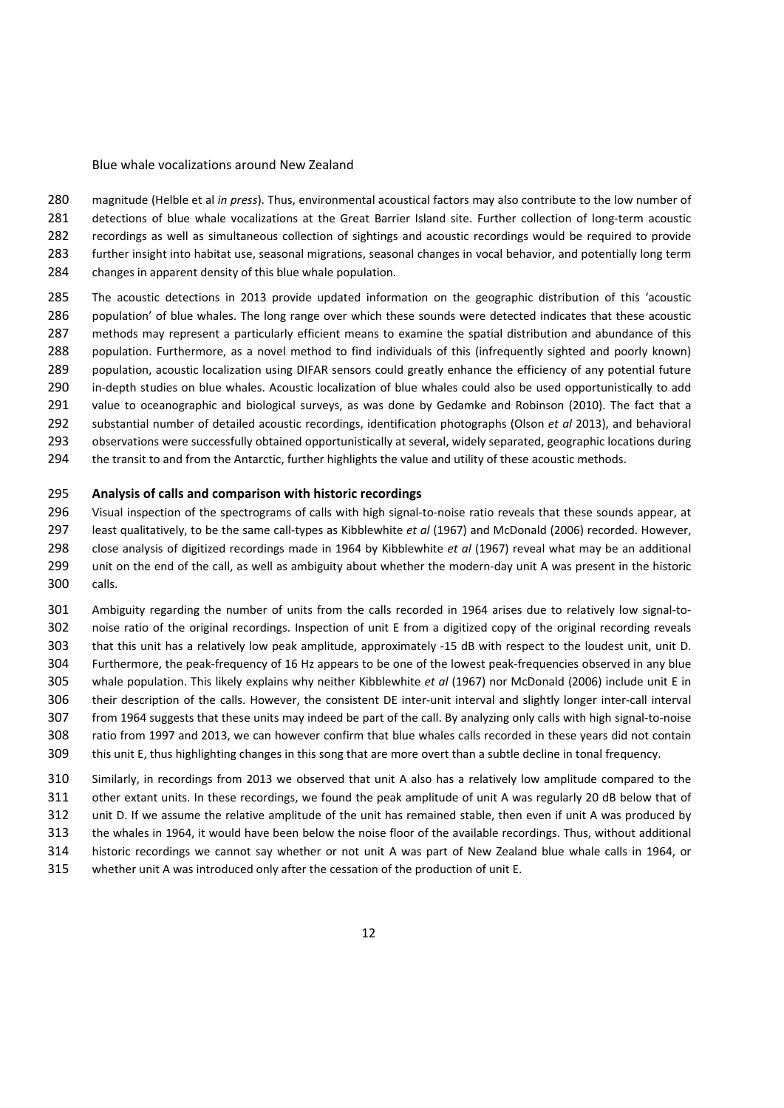magnitude (Helble et al *in press*). Thus, environmental acoustical factors may also contribute to the low number of 281 detections of blue whale vocalizations at the Great Barrier Island site. Further collection of long-term acoustic recordings as well as simultaneous collection of sightings and acoustic recordings would be required to provide further insight into habitat use, seasonal migrations, seasonal changes in vocal behavior, and potentially long term changes in apparent density of this blue whale population.

- The acoustic detections in 2013 provide updated information on the geographic distribution of this 'acoustic population' of blue whales. The long range over which these sounds were detected indicates that these acoustic methods may represent a particularly efficient means to examine the spatial distribution and abundance of this population. Furthermore, as a novel method to find individuals of this (infrequently sighted and poorly known) population, acoustic localization using DIFAR sensors could greatly enhance the efficiency of any potential future 290 in-depth studies on blue whales. Acoustic localization of blue whales could also be used opportunistically to add value to oceanographic and biological surveys, as was done by Gedamke and Robinson (2010). The fact that a substantial number of detailed acoustic recordings, identification photographs (Olson *et al* 2013), and behavioral 293 observations were successfully obtained opportunistically at several, widely separated, geographic locations during
- the transit to and from the Antarctic, further highlights the value and utility of these acoustic methods.

### **Analysis of calls and comparison with historic recordings**

296 Visual inspection of the spectrograms of calls with high signal-to-noise ratio reveals that these sounds appear, at least qualitatively, to be the same call‐types as Kibblewhite *et al* (1967) and McDonald (2006) recorded. However, close analysis of digitized recordings made in 1964 by Kibblewhite *et al* (1967) reveal what may be an additional 299 unit on the end of the call, as well as ambiguity about whether the modern-day unit A was present in the historic calls.

 Ambiguity regarding the number of units from the calls recorded in 1964 arises due to relatively low signal‐to‐ noise ratio of the original recordings. Inspection of unit E from a digitized copy of the original recording reveals that this unit has a relatively low peak amplitude, approximately ‐15 dB with respect to the loudest unit, unit D. Furthermore, the peak‐frequency of 16 Hz appears to be one of the lowest peak‐frequencies observed in any blue whale population. This likely explains why neither Kibblewhite *et al* (1967) nor McDonald (2006) include unit E in 306 their description of the calls. However, the consistent DE inter-unit interval and slightly longer inter-call interval 307 from 1964 suggests that these units may indeed be part of the call. By analyzing only calls with high signal-to-noise ratio from 1997 and 2013, we can however confirm that blue whales calls recorded in these years did not contain this unit E, thus highlighting changes in this song that are more overt than a subtle decline in tonal frequency.

 Similarly, in recordings from 2013 we observed that unit A also has a relatively low amplitude compared to the other extant units. In these recordings, we found the peak amplitude of unit A was regularly 20 dB below that of unit D. If we assume the relative amplitude of the unit has remained stable, then even if unit A was produced by the whales in 1964, it would have been below the noise floor of the available recordings. Thus, without additional historic recordings we cannot say whether or not unit A was part of New Zealand blue whale calls in 1964, or whether unit A was introduced only after the cessation of the production of unit E.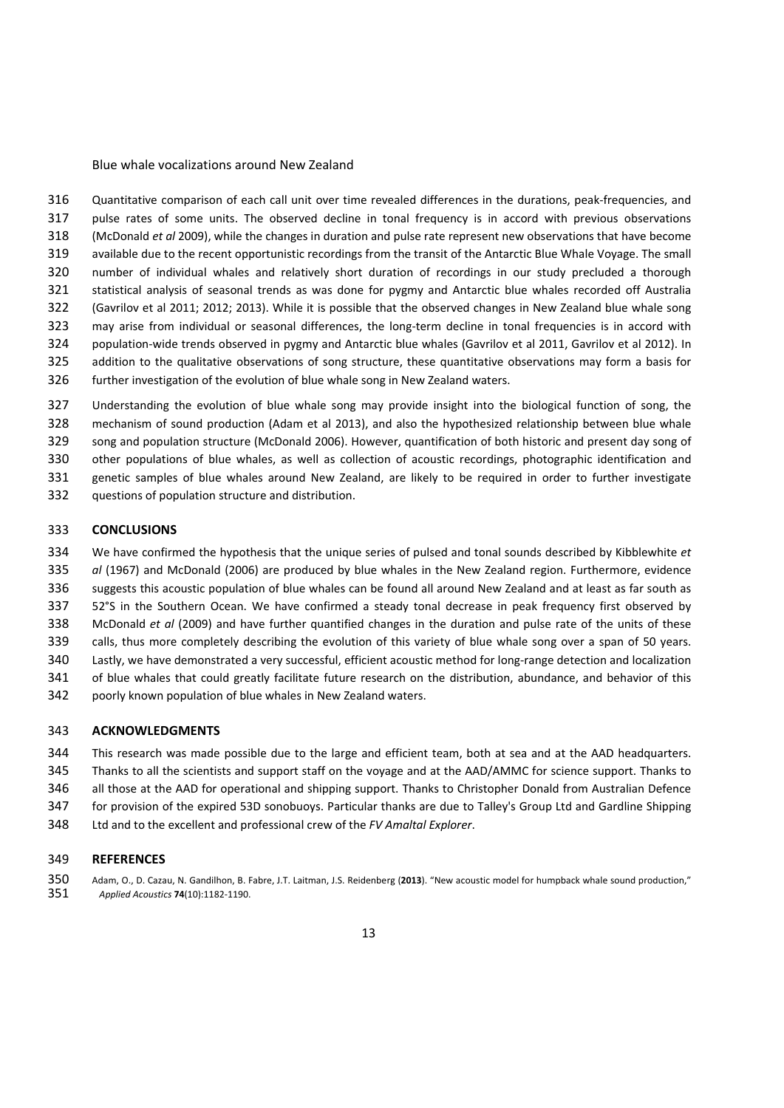316 Quantitative comparison of each call unit over time revealed differences in the durations, peak-frequencies, and pulse rates of some units. The observed decline in tonal frequency is in accord with previous observations (McDonald *et al* 2009), while the changes in duration and pulse rate represent new observations that have become available due to the recent opportunistic recordings from the transit of the Antarctic Blue Whale Voyage. The small number of individual whales and relatively short duration of recordings in our study precluded a thorough statistical analysis of seasonal trends as was done for pygmy and Antarctic blue whales recorded off Australia (Gavrilov et al 2011; 2012; 2013). While it is possible that the observed changes in New Zealand blue whale song 323 may arise from individual or seasonal differences, the long-term decline in tonal frequencies is in accord with 324 population-wide trends observed in pygmy and Antarctic blue whales (Gavrilov et al 2011, Gavrilov et al 2012). In addition to the qualitative observations of song structure, these quantitative observations may form a basis for further investigation of the evolution of blue whale song in New Zealand waters.

 Understanding the evolution of blue whale song may provide insight into the biological function of song, the mechanism of sound production (Adam et al 2013), and also the hypothesized relationship between blue whale song and population structure (McDonald 2006). However, quantification of both historic and present day song of other populations of blue whales, as well as collection of acoustic recordings, photographic identification and genetic samples of blue whales around New Zealand, are likely to be required in order to further investigate questions of population structure and distribution.

#### **CONCLUSIONS**

 We have confirmed the hypothesis that the unique series of pulsed and tonal sounds described by Kibblewhite *et al* (1967) and McDonald (2006) are produced by blue whales in the New Zealand region. Furthermore, evidence suggests this acoustic population of blue whales can be found all around New Zealand and at least as far south as 52°S in the Southern Ocean. We have confirmed a steady tonal decrease in peak frequency first observed by McDonald *et al* (2009) and have further quantified changes in the duration and pulse rate of the units of these calls, thus more completely describing the evolution of this variety of blue whale song over a span of 50 years. Lastly, we have demonstrated a very successful, efficient acoustic method for long‐range detection and localization of blue whales that could greatly facilitate future research on the distribution, abundance, and behavior of this poorly known population of blue whales in New Zealand waters.

#### **ACKNOWLEDGMENTS**

- This research was made possible due to the large and efficient team, both at sea and at the AAD headquarters.
- Thanks to all the scientists and support staff on the voyage and at the AAD/AMMC for science support. Thanks to
- all those at the AAD for operational and shipping support. Thanks to Christopher Donald from Australian Defence
- for provision of the expired 53D sonobuoys. Particular thanks are due to Talley's Group Ltd and Gardline Shipping
- Ltd and to the excellent and professional crew of the *FV Amaltal Explorer*.

#### **REFERENCES**

 Adam, O., D. Cazau, N. Gandilhon, B. Fabre, J.T. Laitman, J.S. Reidenberg (**2013**). "New acoustic model for humpback whale sound production," *Applied Acoustics* **74**(10):1182‐1190.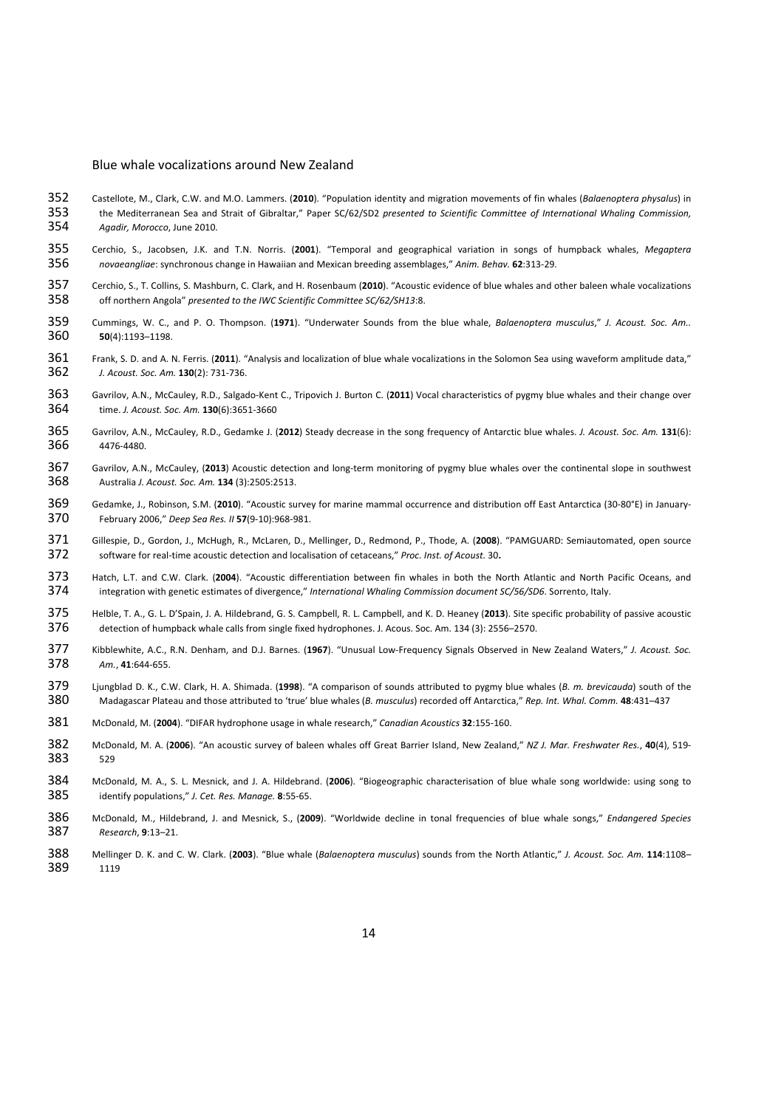- Castellote, M., Clark, C.W. and M.O. Lammers. (**2010**). "Population identity and migration movements of fin whales (*Balaenoptera physalus*) in the Mediterranean Sea and Strait of Gibraltar," Paper SC/62/SD2 *presented to Scientific Committee of International Whaling Commission, Agadir, Morocco*, June 2010.
- Cerchio, S., Jacobsen, J.K. and T.N. Norris. (**2001**). "Temporal and geographical variation in songs of humpback whales, *Megaptera novaeangliae*: synchronous change in Hawaiian and Mexican breeding assemblages," *Anim. Behav.* **62**:313‐29.
- Cerchio, S., T. Collins, S. Mashburn, C. Clark, and H. Rosenbaum (**2010**). "Acoustic evidence of blue whales and other baleen whale vocalizations off northern Angola" *presented to the IWC Scientific Committee SC/62/SH13*:8.
- Cummings, W. C., and P. O. Thompson. (**1971**). "Underwater Sounds from the blue whale, *Balaenoptera musculus*," *J. Acoust. Soc. Am..* **50**(4):1193–1198.
- Frank, S. D. and A. N. Ferris. (**2011**). "Analysis and localization of blue whale vocalizations in the Solomon Sea using waveform amplitude data," *J. Acoust. Soc. Am.* **130**(2): 731‐736.
- Gavrilov, A.N., McCauley, R.D., Salgado‐Kent C., Tripovich J. Burton C. (**2011**) Vocal characteristics of pygmy blue whales and their change over time. *J. Acoust. Soc. Am.* **130**(6):3651‐3660
- Gavrilov, A.N., McCauley, R.D., Gedamke J. (**2012**) Steady decrease in the song frequency of Antarctic blue whales. *J. Acoust. Soc. Am.* **131**(6): 4476‐4480.
- 367 Gavrilov, A.N., McCauley, (2013) Acoustic detection and long-term monitoring of pygmy blue whales over the continental slope in southwest Australia *J. Acoust. Soc. Am.* **134** (3):2505:2513.
- 369 Gedamke, J., Robinson, S.M. (2010). "Acoustic survey for marine mammal occurrence and distribution off East Antarctica (30-80°E) in January-<br>370 February 2006 " Deen Seg Res. II 57(9-10):968-981. February 2006," *Deep Sea Res. II* **57**(9‐10):968‐981.
- 371 Gillespie, D., Gordon, J., McHugh, R., McLaren, D., Mellinger, D., Redmond, P., Thode, A. (2008). "PAMGUARD: Semiautomated, open source<br>372 software for real-time acoustic detection and localisation of cetaceans." Proc software for real‐time acoustic detection and localisation of cetaceans," *Proc. Inst. of Acoust.* 30**.**
- 373 Hatch, L.T. and C.W. Clark. (2004). "Acoustic differentiation between fin whales in both the North Atlantic and North Pacific Oceans, and<br>374 integration with genetic estimates of divergence." International Whalina Com integration with genetic estimates of divergence," *International Whaling Commission document SC/56/SD6*. Sorrento, Italy.
- Helble, T. A., G. L. D'Spain, J. A. Hildebrand, G. S. Campbell, R. L. Campbell, and K. D. Heaney (**2013**). Site specific probability of passive acoustic detection of humpback whale calls from single fixed hydrophones. J. Acous. Soc. Am. 134 (3): 2556–2570.
- Kibblewhite, A.C., R.N. Denham, and D.J. Barnes. (**1967**). "Unusual Low‐Frequency Signals Observed in New Zealand Waters," *J. Acoust. Soc. Am.*, **41**:644‐655.
- Ljungblad D. K., C.W. Clark, H. A. Shimada. (**1998**). "A comparison of sounds attributed to pygmy blue whales (*B. m. brevicauda*) south of the Madagascar Plateau and those attributed to 'true' blue whales (*B. musculus*) recorded off Antarctica," *Rep. Int. Whal. Comm.* **48**:431–437
- McDonald, M. (**2004**). "DIFAR hydrophone usage in whale research," *Canadian Acoustics* **32**:155‐160.
- McDonald, M. A. (**2006**). "An acoustic survey of baleen whales off Great Barrier Island, New Zealand," *NZ J. Mar. Freshwater Res.*, **40**(4), 519‐ 529
- McDonald, M. A., S. L. Mesnick, and J. A. Hildebrand. (**2006**). "Biogeographic characterisation of blue whale song worldwide: using song to identify populations," *J. Cet. Res. Manage.* **8**:55‐65.
- McDonald, M., Hildebrand, J. and Mesnick, S., (**2009**). "Worldwide decline in tonal frequencies of blue whale songs," *Endangered Species Research*, **9**:13–21.
- Mellinger D. K. and C. W. Clark. (**2003**). "Blue whale (*Balaenoptera musculus*) sounds from the North Atlantic," *J. Acoust. Soc. Am.* **114**:1108– 1119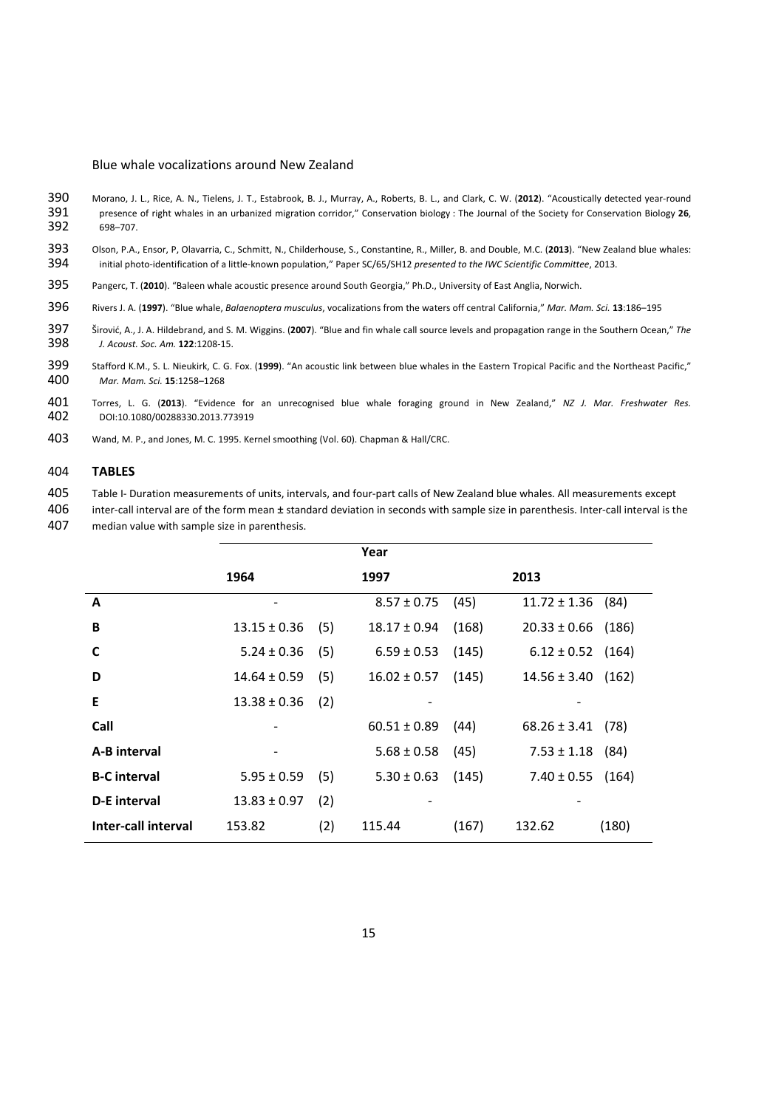- 390 Morano, J. L., Rice, A. N., Tielens, J. T., Estabrook, B. J., Murray, A., Roberts, B. L., and Clark, C. W. (2012). "Acoustically detected year-round<br>391 presence of right whales in an urbanized migration corridor," Con 391 presence of right whales in an urbanized migration corridor," Conservation biology : The Journal of the Society for Conservation Biology **26**, 698–707
- 393 Olson, P.A., Ensor, P, Olavarria, C., Schmitt, N., Childerhouse, S., Constantine, R., Miller, B. and Double, M.C. (**2013**). "New Zealand blue whales: 394 initial photo‐identification of a little‐known population," Paper SC/65/SH12 *presented to the IWC Scientific Committee*, 2013.
- 395 Pangerc, T. (**2010**). "Baleen whale acoustic presence around South Georgia," Ph.D., University of East Anglia, Norwich.
- 396 Rivers J. A. (**1997**). "Blue whale, *Balaenoptera musculus*, vocalizations from the waters off central California," *Mar. Mam. Sci.* **13**:186–195
- 397 Širović, A., J. A. Hildebrand, and S. M. Wiggins. (**2007**). "Blue and fin whale call source levels and propagation range in the Southern Ocean," *The* 398 *J. Acoust. Soc. Am.* **122**:1208‐15.
- 399 Stafford K.M., S. L. Nieukirk, C. G. Fox. (**1999**). "An acoustic link between blue whales in the Eastern Tropical Pacific and the Northeast Pacific," 400 *Mar. Mam. Sci.* **15**:1258–1268
- 401 Torres, L. G. (**2013**). "Evidence for an unrecognised blue whale foraging ground in New Zealand," *NZ J. Mar. Freshwater Res.* 402 DOI:10.1080/00288330.2013.773919
- 403 Wand, M. P., and Jones, M. C. 1995. Kernel smoothing (Vol. 60). Chapman & Hall/CRC.

### 404 **TABLES**

405 Table I‐ Duration measurements of units, intervals, and four‐part calls of New Zealand blue whales. All measurements except

406 inter-call interval are of the form mean ± standard deviation in seconds with sample size in parenthesis. Inter-call interval is the 407 median value with sample size in parenthesis.

|                     |                  |     | Year             |       |                       |       |
|---------------------|------------------|-----|------------------|-------|-----------------------|-------|
|                     | 1964             |     | 1997             |       | 2013                  |       |
| A                   | -                |     | $8.57 \pm 0.75$  | (45)  | $11.72 \pm 1.36$      | (84)  |
| B                   | $13.15 \pm 0.36$ | (5) | $18.17 \pm 0.94$ | (168) | $20.33 \pm 0.66$      | (186) |
| C                   | $5.24 \pm 0.36$  | (5) | $6.59 \pm 0.53$  | (145) | $6.12 \pm 0.52$       | (164) |
| D                   | $14.64 \pm 0.59$ | (5) | $16.02 \pm 0.57$ | (145) | $14.56 \pm 3.40$      | (162) |
| Е                   | $13.38 \pm 0.36$ | (2) |                  |       |                       |       |
| Call                |                  |     | $60.51 \pm 0.89$ | (44)  | $68.26 \pm 3.41$      | (78)  |
| A-B interval        | -                |     | $5.68 \pm 0.58$  | (45)  | $7.53 \pm 1.18$       | (84)  |
| <b>B-C</b> interval | $5.95 \pm 0.59$  | (5) | $5.30 \pm 0.63$  | (145) | $7.40 \pm 0.55$ (164) |       |
| D-E interval        | $13.83 \pm 0.97$ | (2) |                  |       |                       |       |
| Inter-call interval | 153.82           | (2) | 115.44           | (167) | 132.62                | (180) |